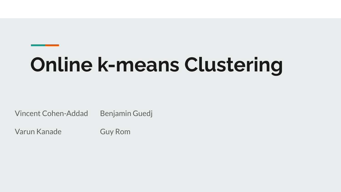# **Online k-means Clustering**

Vincent Cohen-Addad Benjamin Guedj

Varun Kanade Guy Rom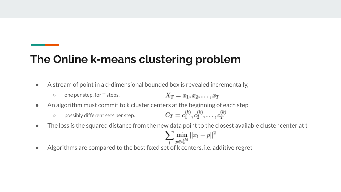### **The Online k-means clustering problem**

- A stream of point in a d-dimensional bounded box is revealed incrementally,
	- $X_T = x_1, x_2, \ldots, x_T$ ○ one per step, for T steps.
- An algorithm must commit to k cluster centers at the beginning of each step
	- $C_T = c_1^{(k)}, c_2^{(k)}, \ldots, c_T^{(k)}$ ○ possibly different sets per step.
- The loss is the squared distance from the new data point to the closest available cluster center at t

$$
\sum_t \min_{p \in c_t^{(k)}} ||x_t - p||^2
$$

● Algorithms are compared to the best fixed set of k centers, i.e. additive regret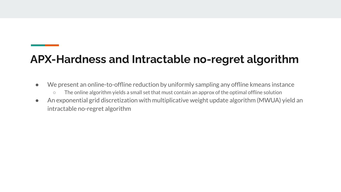## **APX-Hardness and Intractable no-regret algorithm**

- We present an online-to-offline reduction by uniformly sampling any offline kmeans instance
	- The online algorithm yields a small set that must contain an approx of the optimal offline solution
- An exponential grid discretization with multiplicative weight update algorithm (MWUA) yield an intractable no-regret algorithm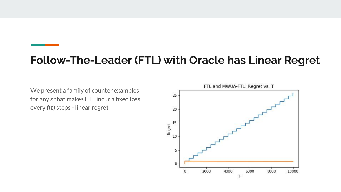#### **Follow-The-Leader (FTL) with Oracle has Linear Regret**

We present a family of counter examples for any ε that makes FTL incur a fixed loss every f(ε) steps - linear regret

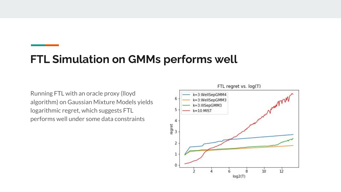#### **FTL Simulation on GMMs performs well**

Running FTL with an oracle proxy (lloyd algorithm) on Gaussian Mixture Models yields logarithmic regret, which suggests FTL performs well under some data constraints